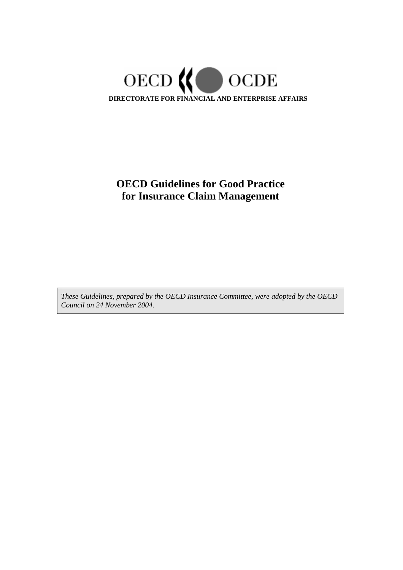

# **OECD Guidelines for Good Practice for Insurance Claim Management**

*These Guidelines, prepared by the OECD Insurance Committee, were adopted by the OECD Council on 24 November 2004.*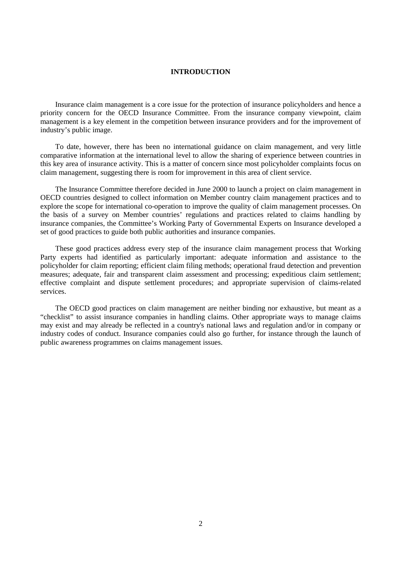#### **INTRODUCTION**

Insurance claim management is a core issue for the protection of insurance policyholders and hence a priority concern for the OECD Insurance Committee. From the insurance company viewpoint, claim management is a key element in the competition between insurance providers and for the improvement of industry's public image.

To date, however, there has been no international guidance on claim management, and very little comparative information at the international level to allow the sharing of experience between countries in this key area of insurance activity. This is a matter of concern since most policyholder complaints focus on claim management, suggesting there is room for improvement in this area of client service.

The Insurance Committee therefore decided in June 2000 to launch a project on claim management in OECD countries designed to collect information on Member country claim management practices and to explore the scope for international co-operation to improve the quality of claim management processes. On the basis of a survey on Member countries' regulations and practices related to claims handling by insurance companies, the Committee's Working Party of Governmental Experts on Insurance developed a set of good practices to guide both public authorities and insurance companies.

These good practices address every step of the insurance claim management process that Working Party experts had identified as particularly important: adequate information and assistance to the policyholder for claim reporting; efficient claim filing methods; operational fraud detection and prevention measures; adequate, fair and transparent claim assessment and processing; expeditious claim settlement; effective complaint and dispute settlement procedures; and appropriate supervision of claims-related services.

The OECD good practices on claim management are neither binding nor exhaustive, but meant as a "checklist" to assist insurance companies in handling claims. Other appropriate ways to manage claims may exist and may already be reflected in a country's national laws and regulation and/or in company or industry codes of conduct. Insurance companies could also go further, for instance through the launch of public awareness programmes on claims management issues.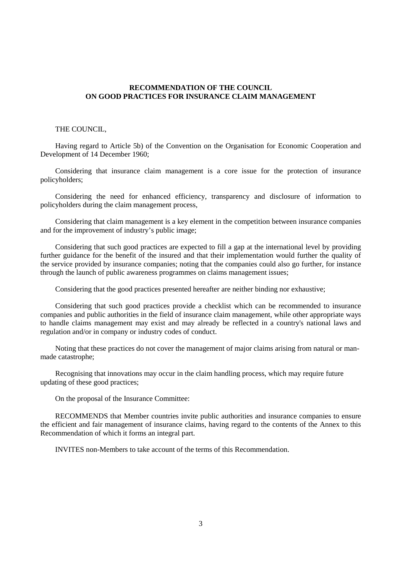## **RECOMMENDATION OF THE COUNCIL ON GOOD PRACTICES FOR INSURANCE CLAIM MANAGEMENT**

#### THE COUNCIL,

Having regard to Article 5b) of the Convention on the Organisation for Economic Cooperation and Development of 14 December 1960;

Considering that insurance claim management is a core issue for the protection of insurance policyholders;

Considering the need for enhanced efficiency, transparency and disclosure of information to policyholders during the claim management process,

Considering that claim management is a key element in the competition between insurance companies and for the improvement of industry's public image;

Considering that such good practices are expected to fill a gap at the international level by providing further guidance for the benefit of the insured and that their implementation would further the quality of the service provided by insurance companies; noting that the companies could also go further, for instance through the launch of public awareness programmes on claims management issues;

Considering that the good practices presented hereafter are neither binding nor exhaustive;

Considering that such good practices provide a checklist which can be recommended to insurance companies and public authorities in the field of insurance claim management, while other appropriate ways to handle claims management may exist and may already be reflected in a country's national laws and regulation and/or in company or industry codes of conduct.

Noting that these practices do not cover the management of major claims arising from natural or manmade catastrophe;

Recognising that innovations may occur in the claim handling process, which may require future updating of these good practices;

On the proposal of the Insurance Committee:

RECOMMENDS that Member countries invite public authorities and insurance companies to ensure the efficient and fair management of insurance claims, having regard to the contents of the Annex to this Recommendation of which it forms an integral part.

INVITES non-Members to take account of the terms of this Recommendation.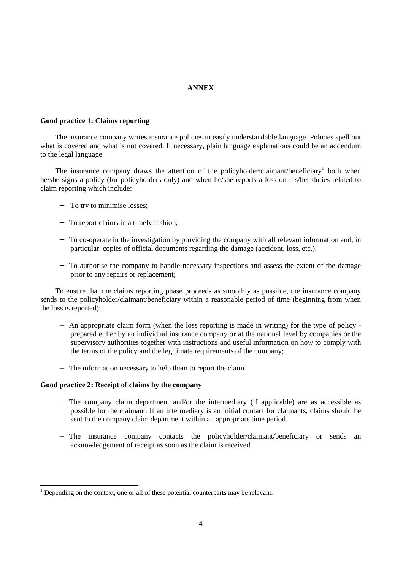# **ANNEX**

#### **Good practice 1: Claims reporting**

The insurance company writes insurance policies in easily understandable language. Policies spell out what is covered and what is not covered. If necessary, plain language explanations could be an addendum to the legal language.

The insurance company draws the attention of the policyholder/claimant/beneficiary<sup>1</sup> both when he/she signs a policy (for policyholders only) and when he/she reports a loss on his/her duties related to claim reporting which include:

- − To try to minimise losses;
- − To report claims in a timely fashion;
- − To co-operate in the investigation by providing the company with all relevant information and, in particular, copies of official documents regarding the damage (accident, loss, etc.);
- − To authorise the company to handle necessary inspections and assess the extent of the damage prior to any repairs or replacement;

To ensure that the claims reporting phase proceeds as smoothly as possible, the insurance company sends to the policyholder/claimant/beneficiary within a reasonable period of time (beginning from when the loss is reported):

- − An appropriate claim form (when the loss reporting is made in writing) for the type of policy prepared either by an individual insurance company or at the national level by companies or the supervisory authorities together with instructions and useful information on how to comply with the terms of the policy and the legitimate requirements of the company;
- − The information necessary to help them to report the claim.

#### **Good practice 2: Receipt of claims by the company**

- The company claim department and/or the intermediary (if applicable) are as accessible as possible for the claimant. If an intermediary is an initial contact for claimants, claims should be sent to the company claim department within an appropriate time period.
- − The insurance company contacts the policyholder/claimant/beneficiary or sends an acknowledgement of receipt as soon as the claim is received.

 $<sup>1</sup>$  Depending on the context, one or all of these potential counterparts may be relevant.</sup>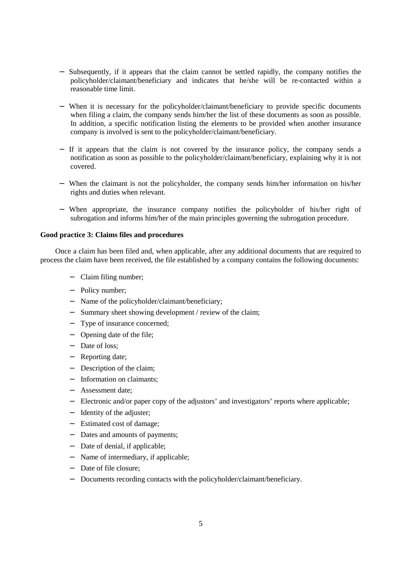- − Subsequently, if it appears that the claim cannot be settled rapidly, the company notifies the policyholder/claimant/beneficiary and indicates that he/she will be re-contacted within a reasonable time limit.
- When it is necessary for the policyholder/claimant/beneficiary to provide specific documents when filing a claim, the company sends him/her the list of these documents as soon as possible. In addition, a specific notification listing the elements to be provided when another insurance company is involved is sent to the policyholder/claimant/beneficiary.
- − If it appears that the claim is not covered by the insurance policy, the company sends a notification as soon as possible to the policyholder/claimant/beneficiary, explaining why it is not covered.
- − When the claimant is not the policyholder, the company sends him/her information on his/her rights and duties when relevant.
- − When appropriate, the insurance company notifies the policyholder of his/her right of subrogation and informs him/her of the main principles governing the subrogation procedure.

## **Good practice 3: Claims files and procedures**

Once a claim has been filed and, when applicable, after any additional documents that are required to process the claim have been received, the file established by a company contains the following documents:

- − Claim filing number;
- − Policy number;
- − Name of the policyholder/claimant/beneficiary;
- − Summary sheet showing development / review of the claim;
- − Type of insurance concerned;
- − Opening date of the file;
- − Date of loss;
- − Reporting date;
- − Description of the claim;
- − Information on claimants;
- − Assessment date;
- − Electronic and/or paper copy of the adjustors' and investigators' reports where applicable;
- − Identity of the adjuster;
- − Estimated cost of damage;
- − Dates and amounts of payments;
- − Date of denial, if applicable;
- − Name of intermediary, if applicable;
- − Date of file closure;
- − Documents recording contacts with the policyholder/claimant/beneficiary.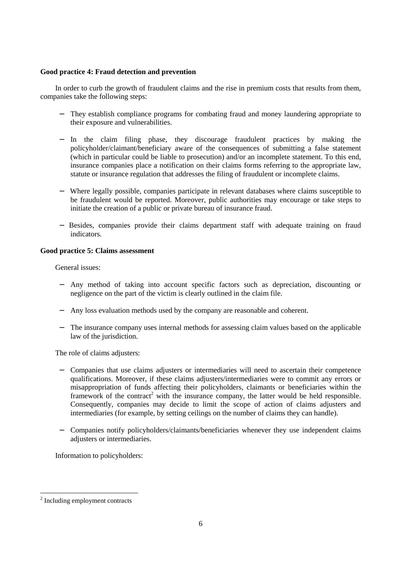# **Good practice 4: Fraud detection and prevention**

In order to curb the growth of fraudulent claims and the rise in premium costs that results from them, companies take the following steps:

- They establish compliance programs for combating fraud and money laundering appropriate to their exposure and vulnerabilities.
- − In the claim filing phase, they discourage fraudulent practices by making the policyholder/claimant/beneficiary aware of the consequences of submitting a false statement (which in particular could be liable to prosecution) and/or an incomplete statement. To this end, insurance companies place a notification on their claims forms referring to the appropriate law, statute or insurance regulation that addresses the filing of fraudulent or incomplete claims.
- − Where legally possible, companies participate in relevant databases where claims susceptible to be fraudulent would be reported. Moreover, public authorities may encourage or take steps to initiate the creation of a public or private bureau of insurance fraud.
- − Besides, companies provide their claims department staff with adequate training on fraud indicators.

# **Good practice 5: Claims assessment**

General issues:

- − Any method of taking into account specific factors such as depreciation, discounting or negligence on the part of the victim is clearly outlined in the claim file.
- − Any loss evaluation methods used by the company are reasonable and coherent.
- − The insurance company uses internal methods for assessing claim values based on the applicable law of the jurisdiction.

The role of claims adjusters:

- − Companies that use claims adjusters or intermediaries will need to ascertain their competence qualifications. Moreover, if these claims adjusters/intermediaries were to commit any errors or misappropriation of funds affecting their policyholders, claimants or beneficiaries within the framework of the contract<sup>2</sup> with the insurance company, the latter would be held responsible. Consequently, companies may decide to limit the scope of action of claims adjusters and intermediaries (for example, by setting ceilings on the number of claims they can handle).
- − Companies notify policyholders/claimants/beneficiaries whenever they use independent claims adjusters or intermediaries.

Information to policyholders:

 $\overline{a}$ 

<sup>&</sup>lt;sup>2</sup> Including employment contracts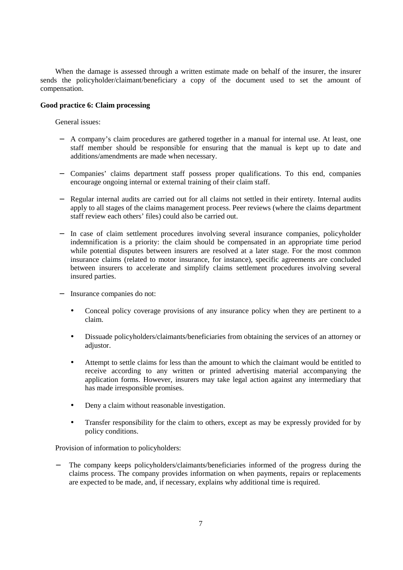When the damage is assessed through a written estimate made on behalf of the insurer, the insurer sends the policyholder/claimant/beneficiary a copy of the document used to set the amount of compensation.

# **Good practice 6: Claim processing**

General issues:

- − A company's claim procedures are gathered together in a manual for internal use. At least, one staff member should be responsible for ensuring that the manual is kept up to date and additions/amendments are made when necessary.
- − Companies' claims department staff possess proper qualifications. To this end, companies encourage ongoing internal or external training of their claim staff.
- − Regular internal audits are carried out for all claims not settled in their entirety. Internal audits apply to all stages of the claims management process. Peer reviews (where the claims department staff review each others' files) could also be carried out.
- − In case of claim settlement procedures involving several insurance companies, policyholder indemnification is a priority: the claim should be compensated in an appropriate time period while potential disputes between insurers are resolved at a later stage. For the most common insurance claims (related to motor insurance, for instance), specific agreements are concluded between insurers to accelerate and simplify claims settlement procedures involving several insured parties.
- − Insurance companies do not:
	- Conceal policy coverage provisions of any insurance policy when they are pertinent to a claim.
	- Dissuade policyholders/claimants/beneficiaries from obtaining the services of an attorney or adjustor.
	- Attempt to settle claims for less than the amount to which the claimant would be entitled to receive according to any written or printed advertising material accompanying the application forms. However, insurers may take legal action against any intermediary that has made irresponsible promises.
	- Deny a claim without reasonable investigation.
	- Transfer responsibility for the claim to others, except as may be expressly provided for by policy conditions.

Provision of information to policyholders:

− The company keeps policyholders/claimants/beneficiaries informed of the progress during the claims process. The company provides information on when payments, repairs or replacements are expected to be made, and, if necessary, explains why additional time is required.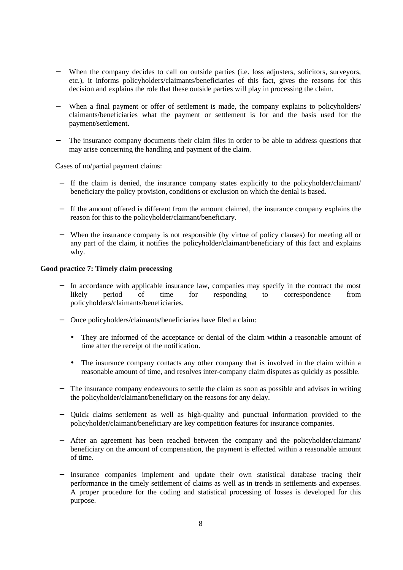- When the company decides to call on outside parties (i.e. loss adjusters, solicitors, surveyors, etc.), it informs policyholders/claimants/beneficiaries of this fact, gives the reasons for this decision and explains the role that these outside parties will play in processing the claim.
- When a final payment or offer of settlement is made, the company explains to policyholders/ claimants/beneficiaries what the payment or settlement is for and the basis used for the payment/settlement.
- The insurance company documents their claim files in order to be able to address questions that may arise concerning the handling and payment of the claim.

Cases of no/partial payment claims:

- − If the claim is denied, the insurance company states explicitly to the policyholder/claimant/ beneficiary the policy provision, conditions or exclusion on which the denial is based.
- − If the amount offered is different from the amount claimed, the insurance company explains the reason for this to the policyholder/claimant/beneficiary.
- − When the insurance company is not responsible (by virtue of policy clauses) for meeting all or any part of the claim, it notifies the policyholder/claimant/beneficiary of this fact and explains why.

### **Good practice 7: Timely claim processing**

- In accordance with applicable insurance law, companies may specify in the contract the most likely period of time for responding to correspondence from policyholders/claimants/beneficiaries.
- − Once policyholders/claimants/beneficiaries have filed a claim:
	- They are informed of the acceptance or denial of the claim within a reasonable amount of time after the receipt of the notification.
	- The insurance company contacts any other company that is involved in the claim within a reasonable amount of time, and resolves inter-company claim disputes as quickly as possible.
- − The insurance company endeavours to settle the claim as soon as possible and advises in writing the policyholder/claimant/beneficiary on the reasons for any delay.
- − Quick claims settlement as well as high-quality and punctual information provided to the policyholder/claimant/beneficiary are key competition features for insurance companies.
- After an agreement has been reached between the company and the policyholder/claimant/ beneficiary on the amount of compensation, the payment is effected within a reasonable amount of time.
- − Insurance companies implement and update their own statistical database tracing their performance in the timely settlement of claims as well as in trends in settlements and expenses. A proper procedure for the coding and statistical processing of losses is developed for this purpose.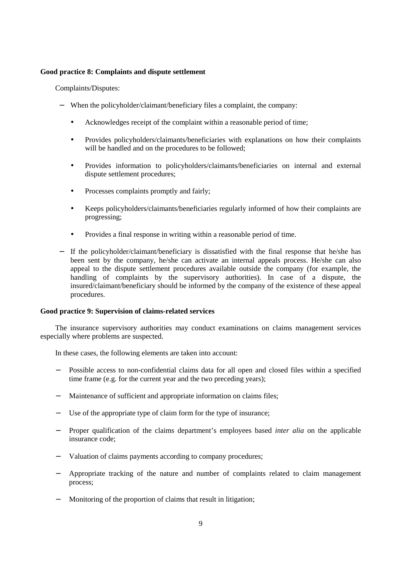## **Good practice 8: Complaints and dispute settlement**

Complaints/Disputes:

- − When the policyholder/claimant/beneficiary files a complaint, the company:
	- Acknowledges receipt of the complaint within a reasonable period of time;
	- Provides policyholders/claimants/beneficiaries with explanations on how their complaints will be handled and on the procedures to be followed;
	- Provides information to policyholders/claimants/beneficiaries on internal and external dispute settlement procedures;
	- Processes complaints promptly and fairly;
	- Keeps policyholders/claimants/beneficiaries regularly informed of how their complaints are progressing;
	- Provides a final response in writing within a reasonable period of time.
- − If the policyholder/claimant/beneficiary is dissatisfied with the final response that he/she has been sent by the company, he/she can activate an internal appeals process. He/she can also appeal to the dispute settlement procedures available outside the company (for example, the handling of complaints by the supervisory authorities). In case of a dispute, the insured/claimant/beneficiary should be informed by the company of the existence of these appeal procedures.

# **Good practice 9: Supervision of claims-related services**

The insurance supervisory authorities may conduct examinations on claims management services especially where problems are suspected.

In these cases, the following elements are taken into account:

- − Possible access to non-confidential claims data for all open and closed files within a specified time frame (e.g. for the current year and the two preceding years);
- − Maintenance of sufficient and appropriate information on claims files;
- − Use of the appropriate type of claim form for the type of insurance;
- − Proper qualification of the claims department's employees based *inter alia* on the applicable insurance code;
- Valuation of claims payments according to company procedures;
- − Appropriate tracking of the nature and number of complaints related to claim management process;
- − Monitoring of the proportion of claims that result in litigation;